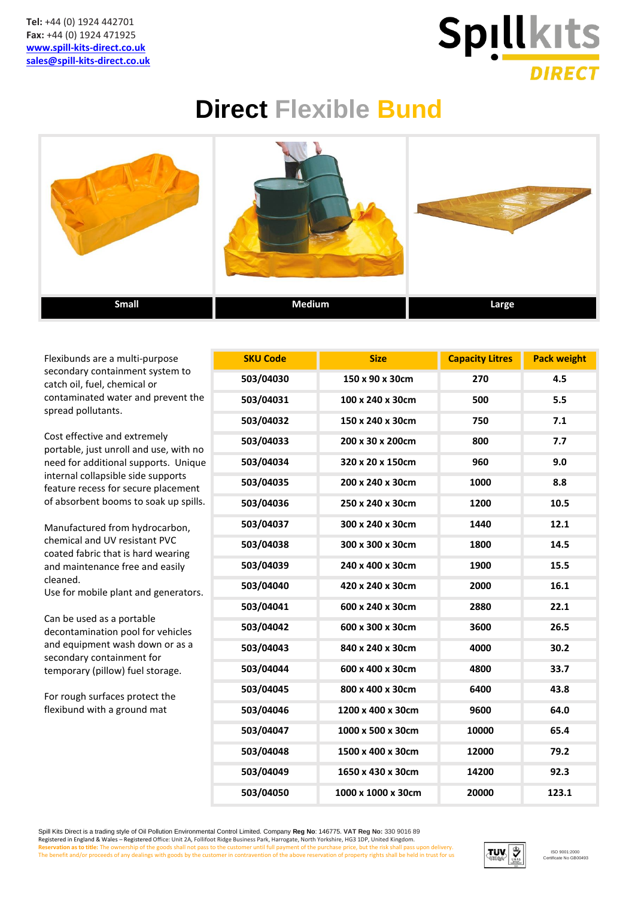

## **Direct Flexible Bund**



Flexibunds are a multi-purpose secondary containment system to catch oil, fuel, chemical or contaminated water and prevent the spread pollutants.

Cost effective and extremely portable, just unroll and use, with no need for additional supports. Uniqu internal collapsible side supports feature recess for secure placement of absorbent booms to soak up spills.

Manufactured from hydrocarbon, chemical and UV resistant PVC coated fabric that is hard wearing and maintenance free and easily cleaned.

Use for mobile plant and generators.

Can be used as a portable decontamination pool for vehicles and equipment wash down or as a secondary containment for temporary (pillow) fuel storage.

For rough surfaces protect the flexibund with a ground mat

|    | <b>SKU Code</b> | <b>Size</b>        | <b>Capacity Litres</b> | <b>Pack weight</b> |
|----|-----------------|--------------------|------------------------|--------------------|
|    | 503/04030       | 150 x 90 x 30cm    | 270                    | 4.5                |
| e  | 503/04031       | 100 x 240 x 30cm   | 500                    | 5.5                |
|    | 503/04032       | 150 x 240 x 30cm   | 750                    | 7.1                |
| O  | 503/04033       | 200 x 30 x 200cm   | 800                    | 7.7                |
| ١e | 503/04034       | 320 x 20 x 150cm   | 960                    | 9.0                |
|    | 503/04035       | 200 x 240 x 30cm   | 1000                   | 8.8                |
| s. | 503/04036       | 250 x 240 x 30cm   | 1200                   | 10.5               |
|    | 503/04037       | 300 x 240 x 30cm   | 1440                   | 12.1               |
|    | 503/04038       | 300 x 300 x 30cm   | 1800                   | 14.5               |
|    | 503/04039       | 240 x 400 x 30cm   | 1900                   | 15.5               |
|    | 503/04040       | 420 x 240 x 30cm   | 2000                   | 16.1               |
|    | 503/04041       | 600 x 240 x 30cm   | 2880                   | 22.1               |
|    | 503/04042       | 600 x 300 x 30cm   | 3600                   | 26.5               |
|    | 503/04043       | 840 x 240 x 30cm   | 4000                   | 30.2               |
|    | 503/04044       | 600 x 400 x 30cm   | 4800                   | 33.7               |
|    | 503/04045       | 800 x 400 x 30cm   | 6400                   | 43.8               |
|    | 503/04046       | 1200 x 400 x 30cm  | 9600                   | 64.0               |
|    | 503/04047       | 1000 x 500 x 30cm  | 10000                  | 65.4               |
|    | 503/04048       | 1500 x 400 x 30cm  | 12000                  | 79.2               |
|    | 503/04049       | 1650 x 430 x 30cm  | 14200                  | 92.3               |
|    | 503/04050       | 1000 x 1000 x 30cm | 20000                  | 123.1              |

Spill Kits Direct is a trading style of Oil Pollution Environmental Control Limited. Company **Reg No**: 146775. **VAT Reg No:** 330 9016 89 Registered in England & Wales – Registered Office: Unit 2A, Follifoot Ridge Business Park, Harrogate, North Yorkshire, HG3 1DP, United Kingdom. Reservation as to title: The ownership of the goods shall not pass to the customer until full payment of the purchase price, but the risk shall pass upon delivery.<br>The benefit and/or proceeds of any dealings with goods by

![](_page_0_Picture_12.jpeg)